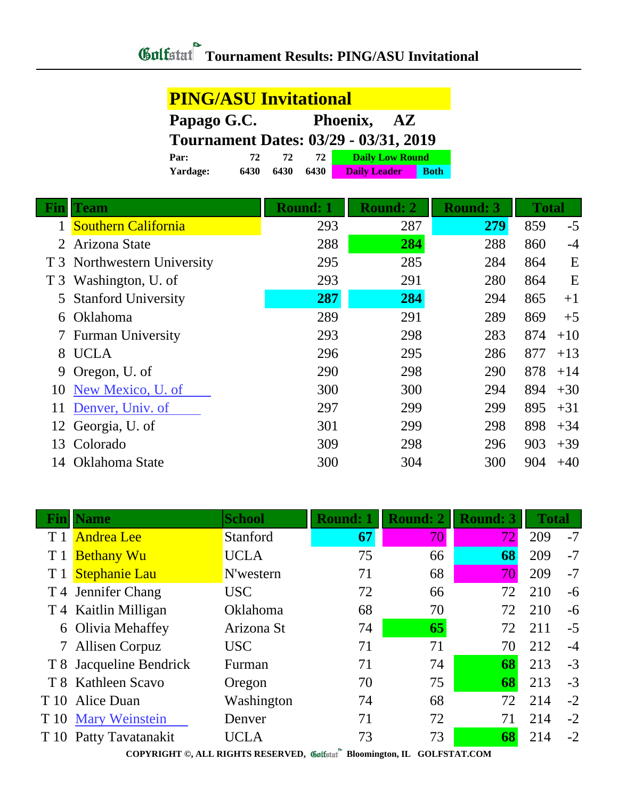| <b>PING/ASU Invitational</b>                 |      |      |      |                        |             |  |
|----------------------------------------------|------|------|------|------------------------|-------------|--|
| Papago G.C.<br>Phoenix,<br>${\bf AZ}$        |      |      |      |                        |             |  |
| <b>Tournament Dates: 03/29 - 03/31, 2019</b> |      |      |      |                        |             |  |
| Par:                                         | 72   | 72   | 72   | <b>Daily Low Round</b> |             |  |
| Yardage:                                     | 6430 | 6430 | 6430 | <b>Daily Leader</b>    | <b>Both</b> |  |

|    | <b>Team</b>                 | <b>Round: 1</b> | <b>Round: 2</b> | <b>Round: 3</b> | <b>Total</b> |       |
|----|-----------------------------|-----------------|-----------------|-----------------|--------------|-------|
|    | <b>Southern California</b>  | 293             | 287             | 279             | 859          | $-5$  |
| 2  | Arizona State               | 288             | 284             | 288             | 860          | $-4$  |
|    | T 3 Northwestern University | 295             | 285             | 284             | 864          | E     |
|    | T 3 Washington, U. of       | 293             | 291             | 280             | 864          | E     |
|    | 5 Stanford University       | 287             | 284             | 294             | 865          | $+1$  |
| 6  | Oklahoma                    | 289             | 291             | 289             | 869          | $+5$  |
|    | <b>Furman University</b>    | 293             | 298             | 283             | 874          | $+10$ |
| 8  | <b>UCLA</b>                 | 296             | 295             | 286             | 877          | $+13$ |
| 9  | Oregon, U. of               | 290             | 298             | 290             | 878          | $+14$ |
| 10 | New Mexico, U. of           | 300             | 300             | 294             | 894          | $+30$ |
| 11 | Denver, Univ. of            | 297             | 299             | 299             | 895          | $+31$ |
| 12 | Georgia, U. of              | 301             | 299             | 298             | 898          | $+34$ |
| 13 | Colorado                    | 309             | 298             | 296             | 903          | $+39$ |
| 14 | Oklahoma State              | 300             | 304             | 300             | 904          | $+40$ |

|      | <b>Name</b>             | <b>School</b> | <b>Round: 1</b> | <b>Round: 2</b> | <b>Round: 3</b> | <b>Total</b> |      |
|------|-------------------------|---------------|-----------------|-----------------|-----------------|--------------|------|
|      | <b>Andrea</b> Lee       | Stanford      | 67              | 70              | 72              | 209          | $-7$ |
| T 1  | <b>Bethany Wu</b>       | <b>UCLA</b>   | 75              | 66              | 68              | 209          | $-7$ |
| T1   | <b>Stephanie Lau</b>    | N'western     | 71              | 68              | 70              | 209          | $-7$ |
|      | T 4 Jennifer Chang      | <b>USC</b>    | 72              | 66              | 72              | 210          | $-6$ |
|      | T 4 Kaitlin Milligan    | Oklahoma      | 68              | 70              | 72              | 210          | $-6$ |
|      | 6 Olivia Mehaffey       | Arizona St    | 74              | 65              | 72              | 211          | $-5$ |
|      | 7 Allisen Corpuz        | <b>USC</b>    | 71              | 71              | 70              | 212          | $-4$ |
|      | T 8 Jacqueline Bendrick | Furman        | 71              | 74              | 68              | 213          | $-3$ |
|      | T 8 Kathleen Scavo      | Oregon        | 70              | 75              | 68              | 213          | $-3$ |
|      | T 10 Alice Duan         | Washington    | 74              | 68              | 72              | 214          | $-2$ |
|      | T 10 Mary Weinstein     | Denver        | 71              | 72              | 71              | 214          | $-2$ |
| T 10 | Patty Tavatanakit       | UCLA          | 73              | 73              | 68              | 214          | $-2$ |

**COPYRIGHT ©, ALL RIGHTS RESERVED, Bloomington, IL GOLFSTAT.COM**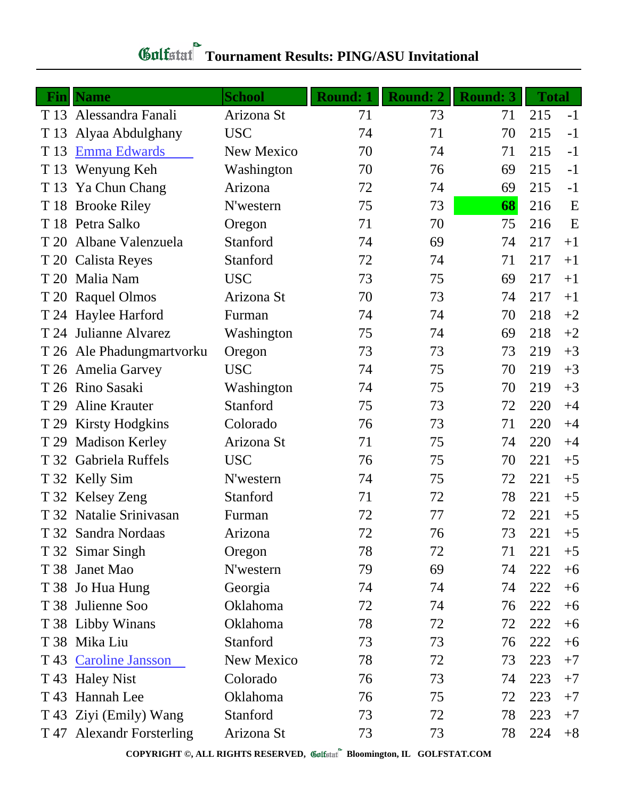## **Tournament Results: PING/ASU Invitational**

| Fin  | <b>Name</b>               | <b>School</b>     | <b>Round: 1</b> | <b>Round: 2</b> | <b>Round: 3</b> | <b>Total</b> |      |
|------|---------------------------|-------------------|-----------------|-----------------|-----------------|--------------|------|
|      | T 13 Alessandra Fanali    | Arizona St        | 71              | 73              | 71              | 215          | $-1$ |
| T 13 | Alyaa Abdulghany          | <b>USC</b>        | 74              | 71              | 70              | 215          | $-1$ |
| T 13 | Emma Edwards              | New Mexico        | 70              | 74              | 71              | 215          | $-1$ |
| T 13 | Wenyung Keh               | Washington        | 70              | 76              | 69              | 215          | $-1$ |
| T 13 | Ya Chun Chang             | Arizona           | 72              | 74              | 69              | 215          | $-1$ |
| T 18 | <b>Brooke Riley</b>       | N'western         | 75              | 73              | 68              | 216          | E    |
|      | T 18 Petra Salko          | Oregon            | 71              | 70              | 75              | 216          | E    |
| T 20 | Albane Valenzuela         | Stanford          | 74              | 69              | 74              | 217          | $+1$ |
|      | T 20 Calista Reyes        | Stanford          | 72              | 74              | 71              | 217          | $+1$ |
| T 20 | Malia Nam                 | <b>USC</b>        | 73              | 75              | 69              | 217          | $+1$ |
|      | T 20 Raquel Olmos         | Arizona St        | 70              | 73              | 74              | 217          | $+1$ |
|      | T 24 Haylee Harford       | Furman            | 74              | 74              | 70              | 218          | $+2$ |
|      | T 24 Julianne Alvarez     | Washington        | 75              | 74              | 69              | 218          | $+2$ |
|      | T 26 Ale Phadungmartvorku | Oregon            | 73              | 73              | 73              | 219          | $+3$ |
|      | T 26 Amelia Garvey        | <b>USC</b>        | 74              | 75              | 70              | 219          | $+3$ |
| T 26 | Rino Sasaki               | Washington        | 74              | 75              | 70              | 219          | $+3$ |
| T 29 | <b>Aline Krauter</b>      | Stanford          | 75              | 73              | 72              | 220          | $+4$ |
|      | T 29 Kirsty Hodgkins      | Colorado          | 76              | 73              | 71              | 220          | $+4$ |
|      | T 29 Madison Kerley       | Arizona St        | 71              | 75              | 74              | 220          | $+4$ |
| T 32 | Gabriela Ruffels          | <b>USC</b>        | 76              | 75              | 70              | 221          | $+5$ |
|      | T 32 Kelly Sim            | N'western         | 74              | 75              | 72              | 221          | $+5$ |
|      | T 32 Kelsey Zeng          | Stanford          | 71              | 72              | 78              | 221          | $+5$ |
|      | T 32 Natalie Srinivasan   | Furman            | 72              | 77              | 72              | 221          | $+5$ |
|      | T 32 Sandra Nordaas       | Arizona           | 72              | 76              | 73              | 221          | $+5$ |
|      | T 32 Simar Singh          | Oregon            | 78              | 72              | 71              | 221          | $+5$ |
|      | T 38 Janet Mao            | N'western         | 79              | 69              | 74              | 222          | $+6$ |
|      | T 38 Jo Hua Hung          | Georgia           | 74              | 74              | 74              | 222          | $+6$ |
|      | T 38 Julienne Soo         | Oklahoma          | 72              | 74              | 76              | 222          | $+6$ |
|      | T 38 Libby Winans         | Oklahoma          | 78              | 72              | 72              | 222          | $+6$ |
|      | T 38 Mika Liu             | Stanford          | 73              | 73              | 76              | 222          | $+6$ |
| T 43 | <b>Caroline Jansson</b>   | <b>New Mexico</b> | 78              | 72              | 73              | 223          | $+7$ |
|      | T 43 Haley Nist           | Colorado          | 76              | 73              | 74              | 223          | $+7$ |
|      | T 43 Hannah Lee           | Oklahoma          | 76              | 75              | 72              | 223          | $+7$ |
|      | T 43 Ziyi (Emily) Wang    | Stanford          | 73              | 72              | 78              | 223          | $+7$ |
|      | T 47 Alexandr Forsterling | Arizona St        | 73              | 73              | 78              | 224          | $+8$ |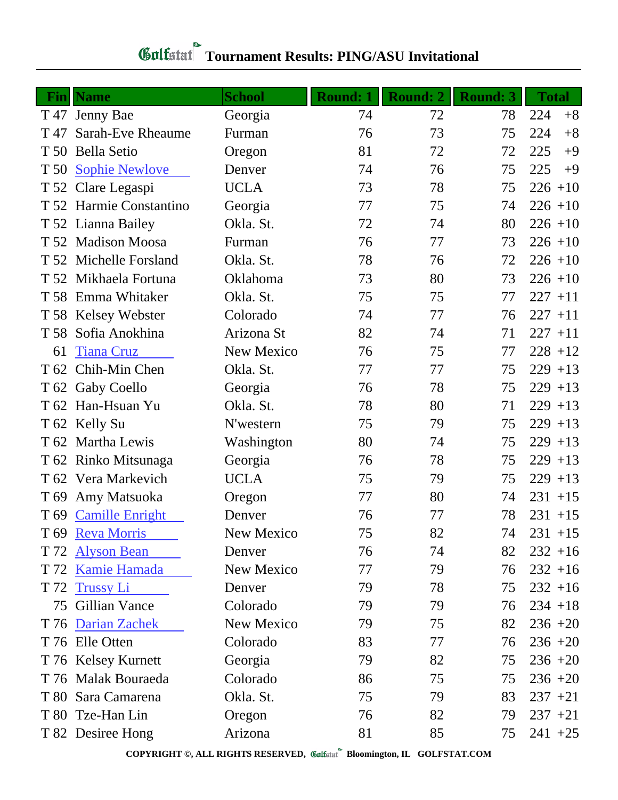## **Tournament Results: PING/ASU Invitational**

| Fin  | <b>Name</b>              | <b>School</b> | <b>Round: 1</b> | <b>Round: 2</b> | <b>Round: 3</b> | <b>Total</b> |
|------|--------------------------|---------------|-----------------|-----------------|-----------------|--------------|
|      | T 47 Jenny Bae           | Georgia       | 74              | 72              | 78              | 224<br>$+8$  |
| T 47 | <b>Sarah-Eve Rheaume</b> | Furman        | 76              | 73              | 75              | 224<br>$+8$  |
|      | T 50 Bella Setio         | Oregon        | 81              | 72              | 72              | 225<br>$+9$  |
| T 50 | <b>Sophie Newlove</b>    | Denver        | 74              | 76              | 75              | 225<br>$+9$  |
|      | T 52 Clare Legaspi       | <b>UCLA</b>   | 73              | 78              | 75              | $226 + 10$   |
|      | T 52 Harmie Constantino  | Georgia       | 77              | 75              | 74              | $226 + 10$   |
|      | T 52 Lianna Bailey       | Okla. St.     | 72              | 74              | 80              | $226 + 10$   |
|      | T 52 Madison Moosa       | Furman        | 76              | 77              | 73              | $226 + 10$   |
|      | T 52 Michelle Forsland   | Okla. St.     | 78              | 76              | 72              | $226 + 10$   |
|      | T 52 Mikhaela Fortuna    | Oklahoma      | 73              | 80              | 73              | $226 + 10$   |
|      | T 58 Emma Whitaker       | Okla. St.     | 75              | 75              | 77              | $227 + 11$   |
|      | T 58 Kelsey Webster      | Colorado      | 74              | 77              | 76              | $227 + 11$   |
|      | T 58 Sofia Anokhina      | Arizona St    | 82              | 74              | 71              | $227 + 11$   |
| 61   | <b>Tiana Cruz</b>        | New Mexico    | 76              | 75              | 77              | $228 + 12$   |
| T 62 | Chih-Min Chen            | Okla. St.     | 77              | 77              | 75              | $229 + 13$   |
|      | T 62 Gaby Coello         | Georgia       | 76              | 78              | 75              | $229 + 13$   |
|      | T 62 Han-Hsuan Yu        | Okla. St.     | 78              | 80              | 71              | $229 + 13$   |
|      | T 62 Kelly Su            | N'western     | 75              | 79              | 75              | $229 + 13$   |
|      | T 62 Martha Lewis        | Washington    | 80              | 74              | 75              | $229 + 13$   |
|      | T 62 Rinko Mitsunaga     | Georgia       | 76              | 78              | 75              | $229 + 13$   |
|      | T 62 Vera Markevich      | <b>UCLA</b>   | 75              | 79              | 75              | $229 + 13$   |
|      | T 69 Amy Matsuoka        | Oregon        | 77              | 80              | 74              | $231 + 15$   |
|      | T 69 Camille Enright     | Denver        | 76              | 77              | 78              | $231 + 15$   |
|      | T 69 Reva Morris         | New Mexico    | 75              | 82              | 74              | $231 + 15$   |
| T 72 | <b>Alyson Bean</b>       | Denver        | 76              | 74              | 82              | $232 + 16$   |
|      | T 72 Kamie Hamada        | New Mexico    | 77              | 79              | 76              | $232 + 16$   |
| T 72 | <b>Trussy Li</b>         | Denver        | 79              | 78              | 75              | $232 + 16$   |
|      | 75 Gillian Vance         | Colorado      | 79              | 79              | 76              | $234 + 18$   |
| T 76 | Darian Zachek            | New Mexico    | 79              | 75              | 82              | $236 + 20$   |
|      | T 76 Elle Otten          | Colorado      | 83              | 77              | 76              | $236 + 20$   |
|      | T 76 Kelsey Kurnett      | Georgia       | 79              | 82              | 75              | $236 + 20$   |
|      | T 76 Malak Bouraeda      | Colorado      | 86              | 75              | 75              | $236 + 20$   |
|      | T 80 Sara Camarena       | Okla. St.     | 75              | 79              | 83              | $237 + 21$   |
|      | T 80 Tze-Han Lin         | Oregon        | 76              | 82              | 79              | $237 + 21$   |
|      | T 82 Desiree Hong        | Arizona       | 81              | 85              | 75              | $241 + 25$   |